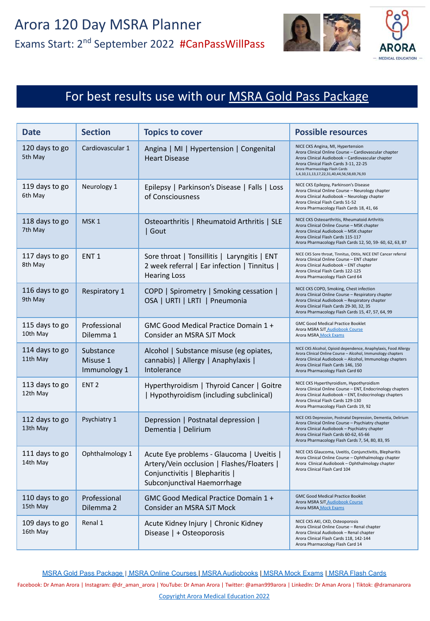

### For best results use with our **MSRA Gold Pass Package**

| <b>Date</b>                | <b>Section</b>                        | <b>Topics to cover</b>                                                                                                                                   | <b>Possible resources</b>                                                                                                                                                                                                                                                 |
|----------------------------|---------------------------------------|----------------------------------------------------------------------------------------------------------------------------------------------------------|---------------------------------------------------------------------------------------------------------------------------------------------------------------------------------------------------------------------------------------------------------------------------|
| 120 days to go<br>5th May  | Cardiovascular 1                      | Angina   MI   Hypertension   Congenital<br><b>Heart Disease</b>                                                                                          | NICE CKS Angina, MI, Hypertension<br>Arora Clinical Online Course - Cardiovascular chapter<br>Arora Clinical Audiobook - Cardiovascular chapter<br>Arora Clinical Flash Cards 3-11, 22-25<br>Arora Pharmacology Flash Cards<br>1,4,10,11,13,17,22,31,40,44,56,58,69,76,93 |
| 119 days to go<br>6th May  | Neurology 1                           | Epilepsy   Parkinson's Disease   Falls   Loss<br>of Consciousness                                                                                        | NICE CKS Epilepsy, Parkinson's Disease<br>Arora Clinical Online Course - Neurology chapter<br>Arora Clinical Audiobook - Neurology chapter<br>Arora Clinical Flash Cards 51-52<br>Arora Pharmacology Flash Cards 18, 41, 66                                               |
| 118 days to go<br>7th May  | MSK <sub>1</sub>                      | Osteoarthritis   Rheumatoid Arthritis   SLE<br>  Gout                                                                                                    | NICE CKS Osteoarthritis, Rheumatoid Arthritis<br>Arora Clinical Online Course - MSK chapter<br>Arora Clinical Audiobook - MSK chapter<br>Arora Clinical Flash Cards 115-117<br>Arora Pharmacology Flash Cards 12, 50, 59-60, 62, 63, 87                                   |
| 117 days to go<br>8th May  | ENT <sub>1</sub>                      | Sore throat   Tonsillitis   Laryngitis   ENT<br>2 week referral   Ear infection   Tinnitus  <br><b>Hearing Loss</b>                                      | NICE CKS Sore throat, Tinnitus, Otitis, NICE ENT Cancer referral<br>Arora Clinical Online Course - ENT chapter<br>Arora Clinical Audiobook - ENT chapter<br>Arora Clinical Flash Cards 122-125<br>Arora Pharmacology Flash Card 64                                        |
| 116 days to go<br>9th May  | Respiratory 1                         | COPD   Spirometry   Smoking cessation  <br>OSA   URTI   LRTI   Pneumonia                                                                                 | NICE CKS COPD, Smoking, Chest infection<br>Arora Clinical Online Course - Respiratory chapter<br>Arora Clinical Audiobook - Respiratory chapter<br>Arora Clinical Flash Cards 29-30, 32, 35<br>Arora Pharmacology Flash Cards 15, 47, 57, 64, 99                          |
| 115 days to go<br>10th May | Professional<br>Dilemma 1             | GMC Good Medical Practice Domain 1 +<br>Consider an MSRA SJT Mock                                                                                        | <b>GMC Good Medical Practice Booklet</b><br>Arora MSRA SJT Audiobook Course<br>Arora MSRA Mock Exams                                                                                                                                                                      |
| 114 days to go<br>11th May | Substance<br>Misuse 1<br>Immunology 1 | Alcohol   Substance misuse (eg opiates,<br>cannabis)   Allergy   Anaphylaxis  <br>Intolerance                                                            | NICE CKS Alcohol, Opioid dependence, Anaphylaxis, Food Allergy<br>Arora Clinical Online Course - Alcohol, Immunology chapters<br>Arora Clinical Audiobook - Alcohol, Immunology chapters<br>Arora Clinical Flash Cards 146, 150<br>Arora Pharmacology Flash Card 60       |
| 113 days to go<br>12th May | ENT <sub>2</sub>                      | Hyperthyroidism   Thyroid Cancer   Goitre<br>  Hypothyroidism (including subclinical)                                                                    | NICE CKS Hyperthyroidism, Hypothyroidism<br>Arora Clinical Online Course - ENT, Endocrinology chapters<br>Arora Clinical Audiobook - ENT, Endocrinology chapters<br>Arora Clinical Flash Cards 129-130<br>Arora Pharmacology Flash Cards 19, 92                           |
| 112 days to go<br>13th May | Psychiatry 1                          | Depression   Postnatal depression  <br>Dementia   Delirium                                                                                               | NICE CKS Depression, Postnatal Depression, Dementia, Delirium<br>Arora Clinical Online Course - Psychiatry chapter<br>Arora Clinical Audiobook - Psychiatry chapter<br>Arora Clinical Flash Cards 60-62, 65-66<br>Arora Pharmacology Flash Cards 7, 54, 80, 83, 95        |
| 111 days to go<br>14th May | Ophthalmology 1                       | Acute Eye problems - Glaucoma   Uveitis  <br>Artery/Vein occlusion   Flashes/Floaters  <br>Conjunctivitis   Blepharitis  <br>Subconjunctival Haemorrhage | NICE CKS Glaucoma, Uveitis, Conjunctivitis, Blepharitis<br>Arora Clinical Online Course - Ophthalmology chapter<br>Arora Clinical Audiobook - Ophthalmology chapter<br>Arora Clinical Flash Card 104                                                                      |
| 110 days to go<br>15th May | Professional<br>Dilemma 2             | GMC Good Medical Practice Domain 1 +<br>Consider an MSRA SJT Mock                                                                                        | <b>GMC Good Medical Practice Booklet</b><br>Arora MSRA SJT_Audiobook Course<br>Arora MSRA Mock Exams                                                                                                                                                                      |
| 109 days to go<br>16th May | Renal 1                               | Acute Kidney Injury   Chronic Kidney<br>Disease   + Osteoporosis                                                                                         | NICE CKS AKI, CKD, Osteoporosis<br>Arora Clinical Online Course - Renal chapter<br>Arora Clinical Audiobook - Renal chapter<br>Arora Clinical Flash Cards 118, 142-144<br>Arora Pharmacology Flash Card 14                                                                |

[MSRA Gold Pass Package](https://aroramedicaleducation.co.uk/msra-gold-pass-package/) [|](https://aroramedicaleducation.co.uk/msra/) [MSRA Online Courses](https://aroramedicaleducation.co.uk/msra-clinical-crammer-online-course/) | [MSRA Audiobooks](https://aroramedicaleducation.co.uk/audiobook/msra-audiobooks/) | [MSRA Mock Exams](https://aroramedicaleducation.co.uk/mock-exam/msra-mock-exams/) | [MSRA Flash Cards](https://aroramedicaleducation.co.uk/arora-medical-flash-cards/)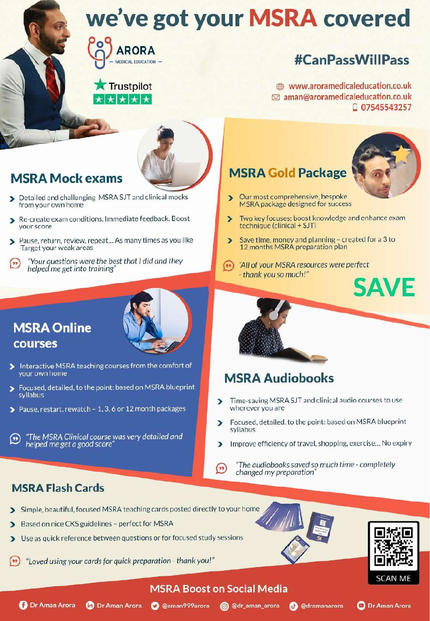

### **Trustpilot** ★ ★ ★ ★ ★

# **#CanPassWillPass**

www.aroramedicaleducation.co.uk ⊠ aman@aroramedicaleducation.co.uk □ 07545543257



# **MSRA Mock exams**

- Detailed and challenging MSRA SJT and clinical mocks from your own home
- Re-create exam conditions. Immediate feedback. Boost Б vour score
- Pause, return, review, repeat... As many times as you like э -Target your weak areas
- Your questions were the best that I did and they  $($ helped me get into training'

## **MSRA Online** courses

- 
- Interactive MSRA teaching courses from the comfort of your own home
- $\overline{\phantom{1}}$ Focused, detailed, to the point: based on MSRA blueprint syllabus
- Pause, restart, rewatch 1, 3, 6 or 12 month packages

"The MSRA Clinical course was very detailed and  $(\cdot)$ helped me get a good score

## **MSRA Gold Package**



- Our most comprehensive, bespoke Ď MSRA package designed for success
- Two key focuses: boost knowledge and enhance exam  $\overline{\phantom{0}}$ technique (clinical + SJT)
- Save time, money and planning created for a 3 to 12 months MSRA preparation plan
- $(\bullet \bullet)$ "All of your MSRA resources were perfect" - thank you so much!"



## **MSRA Audiobooks**

- Time-saving MSRA SJT and clinical audio courses to use wherever you are
- Focused, detailed, to the point: based on MSRA blueprint  $\overline{\phantom{a}}$ syllabus
- Improve efficiency of travel, shopping, exercise... No expiry D.
- "The audiobooks saved so much time completely  $($ \*\*) changed my preparation

### **MSRA Flash Cards**

- Simple, beautiful, focused MSRA teaching cards posted directly to your home
- Based on nice CKS guidelines perfect for MSRA
- Use as quick reference between questions or for focused study sessions  $\blacktriangleright$
- "Loved using your cards for quick preparation thank you!"





**O** Dr Aman Arora

### **MSRA Boost on Social Media**



**D** Dr Aman Arora

**O** @aman999arora **@** @dr\_aman\_arora

**@** @dramanarora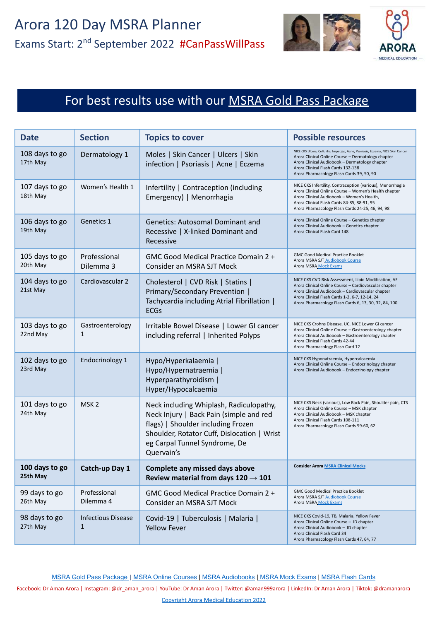

# For best results use with our **[MSRA Gold Pass Package](https://aroramedicaleducation.co.uk/msra-gold-pass-package/)**

| <b>Date</b>                | <b>Section</b>                            | <b>Topics to cover</b>                                                                                                                                                                                                 | <b>Possible resources</b>                                                                                                                                                                                                                                                     |
|----------------------------|-------------------------------------------|------------------------------------------------------------------------------------------------------------------------------------------------------------------------------------------------------------------------|-------------------------------------------------------------------------------------------------------------------------------------------------------------------------------------------------------------------------------------------------------------------------------|
| 108 days to go<br>17th May | Dermatology 1                             | Moles   Skin Cancer   Ulcers   Skin<br>infection   Psoriasis   Acne   Eczema                                                                                                                                           | NICE CKS Ulcers, Cellulitis, Impetigo, Acne, Psoriasis, Eczema, NICE Skin Cancer<br>Arora Clinical Online Course - Dermatology chapter<br>Arora Clinical Audiobook - Dermatology chapter<br>Arora Clinical Flash Cards 132-138<br>Arora Pharmacology Flash Cards 39, 50, 90   |
| 107 days to go<br>18th May | Women's Health 1                          | Infertility   Contraception (including<br>Emergency)   Menorrhagia                                                                                                                                                     | NICE CKS Infertility, Contraception (various), Menorrhagia<br>Arora Clinical Online Course - Women's Health chapter<br>Arora Clinical Audiobook - Women's Health,<br>Arora Clinical Flash Cards 84-85, 88-91, 95<br>Arora Pharmacology Flash Cards 24-25, 46, 94, 98          |
| 106 days to go<br>19th May | Genetics 1                                | <b>Genetics: Autosomal Dominant and</b><br>Recessive   X-linked Dominant and<br>Recessive                                                                                                                              | Arora Clinical Online Course - Genetics chapter<br>Arora Clinical Audiobook - Genetics chapter<br>Arora Clinical Flash Card 148                                                                                                                                               |
| 105 days to go<br>20th May | Professional<br>Dilemma 3                 | GMC Good Medical Practice Domain 2 +<br>Consider an MSRA SJT Mock                                                                                                                                                      | <b>GMC Good Medical Practice Booklet</b><br>Arora MSRA SJT Audiobook Course<br>Arora MSRA Mock Exams                                                                                                                                                                          |
| 104 days to go<br>21st May | Cardiovascular 2                          | Cholesterol   CVD Risk   Statins  <br>Primary/Secondary Prevention  <br>Tachycardia including Atrial Fibrillation  <br><b>ECGs</b>                                                                                     | NICE CKS CVD Risk Assessment, Lipid Modification, AF<br>Arora Clinical Online Course - Cardiovascular chapter<br>Arora Clinical Audiobook - Cardiovascular chapter<br>Arora Clinical Flash Cards 1-2, 6-7, 12-14, 24<br>Arora Pharmacology Flash Cards 6, 13, 30, 32, 84, 100 |
| 103 days to go<br>22nd May | Gastroenterology<br>$\mathbf{1}$          | Irritable Bowel Disease   Lower GI cancer<br>including referral   Inherited Polyps                                                                                                                                     | NICE CKS Crohns Disease, UC, NICE Lower GI cancer<br>Arora Clinical Online Course - Gastroenterology chapter<br>Arora Clinical Audiobook - Gastroenterology chapter<br>Arora Clinical Flash Cards 42-44<br>Arora Pharmacology Flash Card 12                                   |
| 102 days to go<br>23rd May | Endocrinology 1                           | Hypo/Hyperkalaemia  <br>Hypo/Hypernatraemia  <br>Hyperparathyroidism  <br>Hyper/Hypocalcaemia                                                                                                                          | NICE CKS Hyponatraemia, Hypercalcaemia<br>Arora Clinical Online Course - Endocrinology chapter<br>Arora Clinical Audiobook - Endocrinology chapter                                                                                                                            |
| 101 days to go<br>24th May | MSK <sub>2</sub>                          | Neck including Whiplash, Radiculopathy,<br>Neck Injury   Back Pain (simple and red<br>flags)   Shoulder including Frozen<br>Shoulder, Rotator Cuff, Dislocation   Wrist<br>eg Carpal Tunnel Syndrome, De<br>Quervain's | NICE CKS Neck (various), Low Back Pain, Shoulder pain, CTS<br>Arora Clinical Online Course - MSK chapter<br>Arora Clinical Audiobook - MSK chapter<br>Arora Clinical Flash Cards 108-111<br>Arora Pharmacology Flash Cards 59-60, 62                                          |
| 100 days to go<br>25th May | Catch-up Day 1                            | Complete any missed days above<br>Review material from days $120 \rightarrow 101$                                                                                                                                      | <b>Consider Arora MSRA Clinical Mocks</b>                                                                                                                                                                                                                                     |
| 99 days to go<br>26th May  | Professional<br>Dilemma 4                 | GMC Good Medical Practice Domain 2 +<br>Consider an MSRA SJT Mock                                                                                                                                                      | <b>GMC Good Medical Practice Booklet</b><br>Arora MSRA SJT_Audiobook Course<br>Arora MSRA Mock Exams                                                                                                                                                                          |
| 98 days to go<br>27th May  | <b>Infectious Disease</b><br>$\mathbf{1}$ | Covid-19   Tuberculosis   Malaria  <br><b>Yellow Fever</b>                                                                                                                                                             | NICE CKS Covid-19, TB, Malaria, Yellow Fever<br>Arora Clinical Online Course - ID chapter<br>Arora Clinical Audiobook - ID chapter<br>Arora Clinical Flash Card 34<br>Arora Pharmacology Flash Cards 47, 64, 77                                                               |

[MSRA Gold Pass Package](https://aroramedicaleducation.co.uk/msra-gold-pass-package/) | [MSRA Online Courses |](https://aroramedicaleducation.co.uk/msra-clinical-crammer-online-course/) [MSRA Audiobooks](https://aroramedicaleducation.co.uk/audiobook/msra-audiobooks/) | [MSRA Mock Exams](https://aroramedicaleducation.co.uk/mock-exam/msra-mock-exams/) | [MSRA Flash Cards](https://aroramedicaleducation.co.uk/arora-medical-flash-cards/)

Facebook: Dr Aman Arora | Instagram: @dr\_aman\_arora | YouTube: Dr Aman Arora | Twitter: @aman999arora | LinkedIn: Dr Aman Arora | Tiktok: @dramanarora

Copyright Arora Medical Education 2022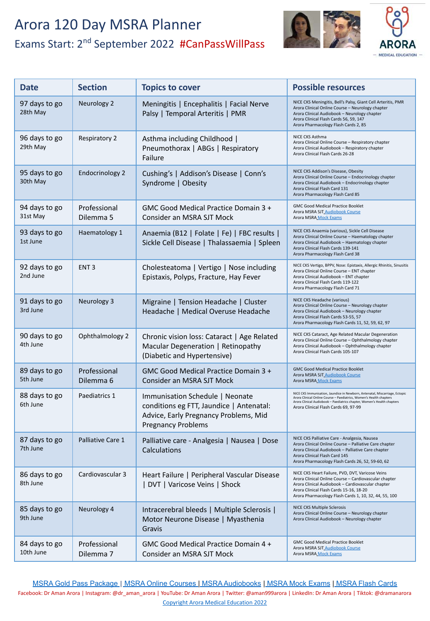

| <b>Date</b>                | <b>Section</b>            | <b>Topics to cover</b>                                                                                                                            | <b>Possible resources</b>                                                                                                                                                                                                                                             |
|----------------------------|---------------------------|---------------------------------------------------------------------------------------------------------------------------------------------------|-----------------------------------------------------------------------------------------------------------------------------------------------------------------------------------------------------------------------------------------------------------------------|
| 97 days to go<br>28th May  | Neurology 2               | Meningitis   Encephalitis   Facial Nerve<br>Palsy   Temporal Arteritis   PMR                                                                      | NICE CKS Meningitis, Bell's Palsy, Giant Cell Arteritis, PMR<br>Arora Clinical Online Course - Neurology chapter<br>Arora Clinical Audiobook - Neurology chapter<br>Arora Clinical Flash Cards 56, 59, 147<br>Arora Pharmacology Flash Cards 2, 85                    |
| 96 days to go<br>29th May  | Respiratory 2             | Asthma including Childhood  <br>Pneumothorax   ABGs   Respiratory<br>Failure                                                                      | NICE CKS Asthma<br>Arora Clinical Online Course - Respiratory chapter<br>Arora Clinical Audiobook - Respiratory chapter<br>Arora Clinical Flash Cards 26-28                                                                                                           |
| 95 days to go<br>30th May  | <b>Endocrinology 2</b>    | Cushing's   Addison's Disease   Conn's<br>Syndrome   Obesity                                                                                      | NICE CKS Addison's Disease, Obesity<br>Arora Clinical Online Course - Endocrinology chapter<br>Arora Clinical Audiobook - Endocrinology chapter<br>Arora Clinical Flash Card 131<br>Arora Pharmacology Flash Card 85                                                  |
| 94 days to go<br>31st May  | Professional<br>Dilemma 5 | GMC Good Medical Practice Domain 3 +<br>Consider an MSRA SJT Mock                                                                                 | <b>GMC Good Medical Practice Booklet</b><br>Arora MSRA SJT Audiobook Course<br>Arora MSRA Mock Exams                                                                                                                                                                  |
| 93 days to go<br>1st June  | Haematology 1             | Anaemia (B12   Folate   Fe)   FBC results  <br>Sickle Cell Disease   Thalassaemia   Spleen                                                        | NICE CKS Anaemia (various), Sickle Cell Disease<br>Arora Clinical Online Course - Haematology chapter<br>Arora Clinical Audiobook - Haematology chapter<br>Arora Clinical Flash Cards 139-141<br>Arora Pharmacology Flash Card 38                                     |
| 92 days to go<br>2nd June  | ENT <sub>3</sub>          | Cholesteatoma   Vertigo   Nose including<br>Epistaxis, Polyps, Fracture, Hay Fever                                                                | NICE CKS Vertigo, BPPV, Nose: Epistaxis, Allergic Rhinitis, Sinusitis<br>Arora Clinical Online Course - ENT chapter<br>Arora Clinical Audiobook - ENT chapter<br>Arora Clinical Flash Cards 119-122<br>Arora Pharmacology Flash Card 71                               |
| 91 days to go<br>3rd June  | Neurology 3               | Migraine   Tension Headache   Cluster<br>Headache   Medical Overuse Headache                                                                      | NICE CKS Headache (various)<br>Arora Clinical Online Course - Neurology chapter<br>Arora Clinical Audiobook - Neurology chapter<br>Arora Clinical Flash Cards 53-55, 57<br>Arora Pharmacology Flash Cards 11, 52, 59, 62, 97                                          |
| 90 days to go<br>4th June  | Ophthalmology 2           | Chronic vision loss: Cataract   Age Related<br>Macular Degeneration   Retinopathy<br>(Diabetic and Hypertensive)                                  | NICE CKS Cataract, Age Related Macular Degeneration<br>Arora Clinical Online Course - Ophthalmology chapter<br>Arora Clinical Audiobook - Ophthalmology chapter<br>Arora Clinical Flash Cards 105-107                                                                 |
| 89 days to go<br>5th June  | Professional<br>Dilemma 6 | GMC Good Medical Practice Domain 3 +<br>Consider an MSRA SJT Mock                                                                                 | <b>GMC Good Medical Practice Booklet</b><br>Arora MSRA SJT Audiobook Course<br>Arora MSRA Mock Exams                                                                                                                                                                  |
| 88 days to go<br>6th June  | Paediatrics 1             | Immunisation Schedule   Neonate<br>conditions eg FTT, Jaundice   Antenatal:<br>Advice, Early Pregnancy Problems, Mid<br><b>Pregnancy Problems</b> | NICE CKS Immunisation, Jaundice in Newborn, Antenatal, Miscarriage, Ectopic<br>Arora Clinical Online Course - Paediatrics, Women's Health chapters<br>Arora Clinical Audiobook - Paediatrics chapter, Women's Health chapters<br>Arora Clinical Flash Cards 69, 97-99 |
| 87 days to go<br>7th June  | Palliative Care 1         | Palliative care - Analgesia   Nausea   Dose<br>Calculations                                                                                       | NICE CKS Palliative Care - Analgesia, Nausea<br>Arora Clinical Online Course - Palliative Care chapter<br>Arora Clinical Audiobook - Palliative Care chapter<br>Arora Clinical Flash Card 145<br>Arora Pharmacology Flash Cards 26, 52, 59-60, 62                     |
| 86 days to go<br>8th June  | Cardiovascular 3          | Heart Failure   Peripheral Vascular Disease<br>DVT   Varicose Veins   Shock                                                                       | NICE CKS Heart Failure, PVD, DVT, Varicose Veins<br>Arora Clinical Online Course - Cardiovascular chapter<br>Arora Clinical Audiobook - Cardiovascular chapter<br>Arora Clinical Flash Cards 15-16, 18-20<br>Arora Pharmacology Flash Cards 1, 10, 32, 44, 55, 100    |
| 85 days to go<br>9th June  | Neurology 4               | Intracerebral bleeds   Multiple Sclerosis  <br>Motor Neurone Disease   Myasthenia<br>Gravis                                                       | <b>NICE CKS Multiple Sclerosis</b><br>Arora Clinical Online Course - Neurology chapter<br>Arora Clinical Audiobook - Neurology chapter                                                                                                                                |
| 84 days to go<br>10th June | Professional<br>Dilemma 7 | GMC Good Medical Practice Domain 4 +<br>Consider an MSRA SJT Mock                                                                                 | <b>GMC Good Medical Practice Booklet</b><br>Arora MSRA SJT Audiobook Course<br>Arora MSRA Mock Exams                                                                                                                                                                  |

[MSRA Gold Pass Package](https://aroramedicaleducation.co.uk/msra-gold-pass-package/) [|](https://aroramedicaleducation.co.uk/msra/) [MSRA Online Courses](https://aroramedicaleducation.co.uk/msra-clinical-crammer-online-course/) [| MSRA Audiobooks](https://aroramedicaleducation.co.uk/audiobook/msra-audiobooks/) [| MSRA Mock Exams](https://aroramedicaleducation.co.uk/mock-exam/msra-mock-exams/) | [MSRA Flash Cards](https://aroramedicaleducation.co.uk/arora-medical-flash-cards/) Facebook: Dr Aman Arora | Instagram: @dr\_aman\_arora | YouTube: Dr Aman Arora | Twitter: @aman999arora | LinkedIn: Dr Aman Arora | Tiktok: @dramanarora Copyright Arora Medical Education 2022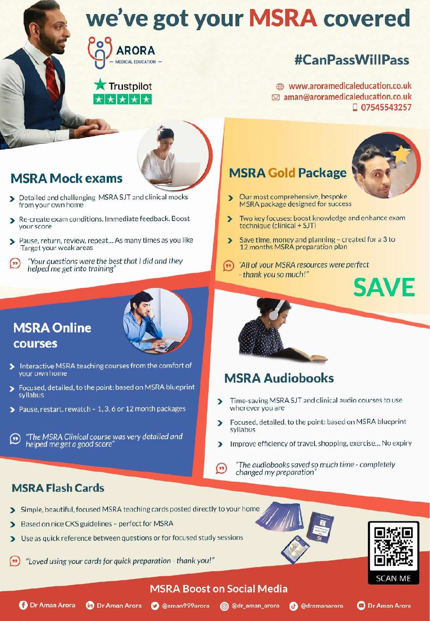

### **Trustpilot** ★ ★ ★ ★ ★

# **#CanPassWillPass**

www.aroramedicaleducation.co.uk ⊠ aman@aroramedicaleducation.co.uk □ 07545543257



# **MSRA Mock exams**

- Detailed and challenging MSRA SJT and clinical mocks from your own home
- Re-create exam conditions. Immediate feedback. Boost Б vour score
- Pause, return, review, repeat... As many times as you like э -Target your weak areas
- Your questions were the best that I did and they  $($ helped me get into training'

## **MSRA Online** courses

- 
- Interactive MSRA teaching courses from the comfort of your own home
- $\overline{\phantom{1}}$ Focused, detailed, to the point: based on MSRA blueprint syllabus
- Pause, restart, rewatch 1, 3, 6 or 12 month packages

"The MSRA Clinical course was very detailed and  $(\cdot)$ helped me get a good score

## **MSRA Gold Package**



- Our most comprehensive, bespoke Ď MSRA package designed for success
- Two key focuses: boost knowledge and enhance exam  $\overline{\phantom{0}}$ technique (clinical + SJT)
- Save time, money and planning created for a 3 to 12 months MSRA preparation plan
- $(\bullet \bullet)$ "All of your MSRA resources were perfect" - thank you so much!"



## **MSRA Audiobooks**

- Time-saving MSRA SJT and clinical audio courses to use wherever you are
- Focused, detailed, to the point: based on MSRA blueprint  $\overline{\phantom{a}}$ syllabus
- Improve efficiency of travel, shopping, exercise... No expiry D.
- "The audiobooks saved so much time completely  $($ \*\*) changed my preparation

### **MSRA Flash Cards**

- Simple, beautiful, focused MSRA teaching cards posted directly to your home
- Based on nice CKS guidelines perfect for MSRA
- Use as quick reference between questions or for focused study sessions  $\blacktriangleright$
- "Loved using your cards for quick preparation thank you!"





**O** Dr Aman Arora

### **MSRA Boost on Social Media**



**D** Dr Aman Arora

**O** @aman999arora **@** @dr\_aman\_arora

**@** @dramanarora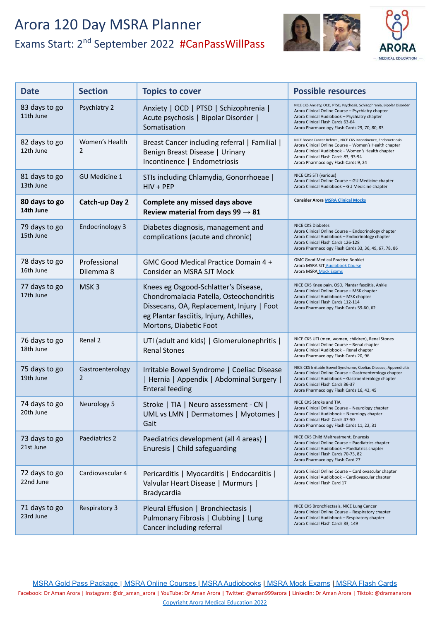

| <b>Date</b>                | <b>Section</b>            | <b>Topics to cover</b>                                                                                                                                                                            | <b>Possible resources</b>                                                                                                                                                                                                                                           |
|----------------------------|---------------------------|---------------------------------------------------------------------------------------------------------------------------------------------------------------------------------------------------|---------------------------------------------------------------------------------------------------------------------------------------------------------------------------------------------------------------------------------------------------------------------|
| 83 days to go<br>11th June | Psychiatry 2              | Anxiety   OCD   PTSD   Schizophrenia  <br>Acute psychosis   Bipolar Disorder  <br>Somatisation                                                                                                    | NICE CKS Anxiety, OCD, PTSD, Psychosis, Schizophrenia, Bipolar Disorder<br>Arora Clinical Online Course - Psychiatry chapter<br>Arora Clinical Audiobook - Psychiatry chapter<br>Arora Clinical Flash Cards 63-64<br>Arora Pharmacology Flash Cards 29, 70, 80, 83  |
| 82 days to go<br>12th June | Women's Health<br>2       | Breast Cancer including referral   Familial  <br>Benign Breast Disease   Urinary<br>Incontinence   Endometriosis                                                                                  | NICE Breast Cancer Referral, NICE CKS Incontinence, Endometriosis<br>Arora Clinical Online Course - Women's Health chapter<br>Arora Clinical Audiobook - Women's Health chapter<br>Arora Clinical Flash Cards 83, 93-94<br>Arora Pharmacology Flash Cards 9, 24     |
| 81 days to go<br>13th June | <b>GU Medicine 1</b>      | STIs including Chlamydia, Gonorrhoeae  <br>$HIV + PEP$                                                                                                                                            | NICE CKS STI (various)<br>Arora Clinical Online Course - GU Medicine chapter<br>Arora Clinical Audiobook - GU Medicine chapter                                                                                                                                      |
| 80 days to go<br>14th June | Catch-up Day 2            | Complete any missed days above<br>Review material from days $99 \rightarrow 81$                                                                                                                   | <b>Consider Arora MSRA Clinical Mocks</b>                                                                                                                                                                                                                           |
| 79 days to go<br>15th June | <b>Endocrinology 3</b>    | Diabetes diagnosis, management and<br>complications (acute and chronic)                                                                                                                           | <b>NICE CKS Diabetes</b><br>Arora Clinical Online Course - Endocrinology chapter<br>Arora Clinical Audiobook - Endocrinology chapter<br>Arora Clinical Flash Cards 126-128<br>Arora Pharmacology Flash Cards 33, 36, 49, 67, 78, 86                                 |
| 78 days to go<br>16th June | Professional<br>Dilemma 8 | GMC Good Medical Practice Domain 4 +<br>Consider an MSRA SJT Mock                                                                                                                                 | <b>GMC Good Medical Practice Booklet</b><br>Arora MSRA SJT Audiobook Course<br>Arora MSRA Mock Exams                                                                                                                                                                |
| 77 days to go<br>17th June | MSK <sub>3</sub>          | Knees eg Osgood-Schlatter's Disease,<br>Chondromalacia Patella, Osteochondritis<br>Dissecans, OA, Replacement, Injury   Foot<br>eg Plantar fasciitis, Injury, Achilles,<br>Mortons, Diabetic Foot | NICE CKS Knee pain, OSD, Plantar fasciitis, Ankle<br>Arora Clinical Online Course - MSK chapter<br>Arora Clinical Audiobook - MSK chapter<br>Arora Clinical Flash Cards 112-114<br>Arora Pharmacology Flash Cards 59-60, 62                                         |
| 76 days to go<br>18th June | Renal 2                   | UTI (adult and kids)   Glomerulonephritis  <br><b>Renal Stones</b>                                                                                                                                | NICE CKS UTI (men, women, children), Renal Stones<br>Arora Clinical Online Course - Renal chapter<br>Arora Clinical Audiobook - Renal chapter<br>Arora Pharmacology Flash Cards 20, 96                                                                              |
| 75 days to go<br>19th June | Gastroenterology<br>2     | Irritable Bowel Syndrome   Coeliac Disease<br>  Hernia   Appendix   Abdominal Surgery  <br><b>Enteral feeding</b>                                                                                 | NICE CKS Irritable Bowel Syndrome, Coeliac Disease, Appendicitis<br>Arora Clinical Online Course - Gastroenterology chapter<br>Arora Clinical Audiobook - Gastroenterology chapter<br>Arora Clinical Flash Cards 36-37<br>Arora Pharmacology Flash Cards 16, 42, 45 |
| 74 days to go<br>20th June | Neurology 5               | Stroke   TIA   Neuro assessment - CN  <br>UML vs LMN   Dermatomes   Myotomes  <br>Gait                                                                                                            | NICE CKS Stroke and TIA<br>Arora Clinical Online Course - Neurology chapter<br>Arora Clinical Audiobook - Neurology chapter<br>Arora Clinical Flash Cards 47-50<br>Arora Pharmacology Flash Cards 11, 22, 31                                                        |
| 73 days to go<br>21st June | Paediatrics 2             | Paediatrics development (all 4 areas)  <br>Enuresis   Child safeguarding                                                                                                                          | NICE CKS Child Maltreatment, Enuresis<br>Arora Clinical Online Course - Paediatrics chapter<br>Arora Clinical Audiobook - Paediatrics chapter<br>Arora Clinical Flash Cards 70-73, 82<br>Arora Pharmacology Flash Card 27                                           |
| 72 days to go<br>22nd June | Cardiovascular 4          | Pericarditis   Myocarditis   Endocarditis  <br>Valvular Heart Disease   Murmurs  <br>Bradycardia                                                                                                  | Arora Clinical Online Course - Cardiovascular chapter<br>Arora Clinical Audiobook - Cardiovascular chapter<br>Arora Clinical Flash Card 17                                                                                                                          |
| 71 days to go<br>23rd June | <b>Respiratory 3</b>      | Pleural Effusion   Bronchiectasis  <br>Pulmonary Fibrosis   Clubbing   Lung<br>Cancer including referral                                                                                          | NICE CKS Bronchiectasis, NICE Lung Cancer<br>Arora Clinical Online Course - Respiratory chapter<br>Arora Clinical Audiobook - Respiratory chapter<br>Arora Clinical Flash Cards 33, 149                                                                             |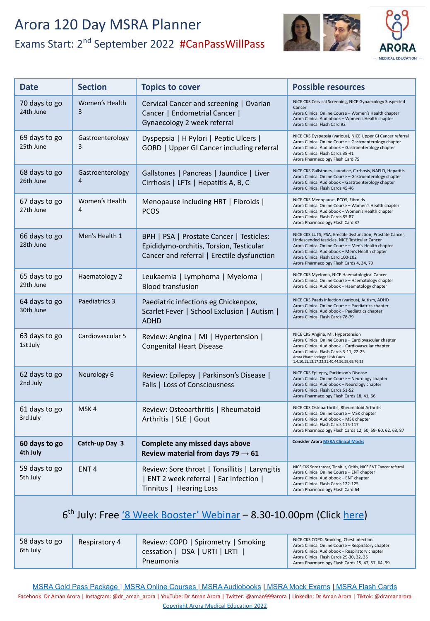

| <b>Date</b>                | <b>Section</b>                     | <b>Topics to cover</b>                                                                                                            | <b>Possible resources</b>                                                                                                                                                                                                                                                                              |
|----------------------------|------------------------------------|-----------------------------------------------------------------------------------------------------------------------------------|--------------------------------------------------------------------------------------------------------------------------------------------------------------------------------------------------------------------------------------------------------------------------------------------------------|
| 70 days to go<br>24th June | Women's Health<br>3                | Cervical Cancer and screening   Ovarian<br>Cancer   Endometrial Cancer  <br>Gynaecology 2 week referral                           | NICE CKS Cervical Screening, NICE Gynaecology Suspected<br>Cancer<br>Arora Clinical Online Course - Women's Health chapter<br>Arora Clinical Audiobook - Women's Health chapter<br>Arora Clinical Flash Card 92                                                                                        |
| 69 days to go<br>25th June | Gastroenterology<br>3              | Dyspepsia   H Pylori   Peptic Ulcers  <br>GORD   Upper GI Cancer including referral                                               | NICE CKS Dyspepsia (various), NICE Upper GI Cancer referral<br>Arora Clinical Online Course - Gastroenterology chapter<br>Arora Clinical Audiobook - Gastroenterology chapter<br>Arora Clinical Flash Cards 38-41<br>Arora Pharmacology Flash Card 75                                                  |
| 68 days to go<br>26th June | Gastroenterology<br>$\overline{4}$ | Gallstones   Pancreas   Jaundice   Liver<br>Cirrhosis   LFTs   Hepatitis A, B, C                                                  | NICE CKS Gallstones, Jaundice, Cirrhosis, NAFLD, Hepatitis<br>Arora Clinical Online Course - Gastroenterology chapter<br>Arora Clinical Audiobook - Gastroenterology chapter<br>Arora Clinical Flash Cards 45-46                                                                                       |
| 67 days to go<br>27th June | Women's Health<br>4                | Menopause including HRT   Fibroids  <br><b>PCOS</b>                                                                               | NICE CKS Menopause, PCOS, Fibroids<br>Arora Clinical Online Course - Women's Health chapter<br>Arora Clinical Audiobook - Women's Health chapter<br>Arora Clinical Flash Cards 85-87<br>Arora Pharmacology Flash Card 37                                                                               |
| 66 days to go<br>28th June | Men's Health 1                     | BPH   PSA   Prostate Cancer   Testicles:<br>Epididymo-orchitis, Torsion, Testicular<br>Cancer and referral   Erectile dysfunction | NICE CKS LUTS, PSA, Erectile dysfunction, Prostate Cancer,<br>Undescended testicles, NICE Testicular Cancer<br>Arora Clinical Online Course - Men's Health chapter<br>Arora Clinical Audiobook - Men's Health chapter<br>Arora Clinical Flash Card 100-102<br>Arora Pharmacology Flash Cards 4, 34, 79 |
| 65 days to go<br>29th June | Haematology 2                      | Leukaemia   Lymphoma   Myeloma  <br><b>Blood transfusion</b>                                                                      | NICE CKS Myeloma, NICE Haematological Cancer<br>Arora Clinical Online Course - Haematology chapter<br>Arora Clinical Audiobook - Haematology chapter                                                                                                                                                   |
| 64 days to go<br>30th June | Paediatrics 3                      | Paediatric infections eg Chickenpox,<br>Scarlet Fever   School Exclusion   Autism  <br><b>ADHD</b>                                | NICE CKS Paeds infection (various), Autism, ADHD<br>Arora Clinical Online Course - Paediatrics chapter<br>Arora Clinical Audiobook - Paediatrics chapter<br>Arora Clinical Flash Cards 78-79                                                                                                           |
| 63 days to go<br>1st July  | Cardiovascular 5                   | Review: Angina   MI   Hypertension  <br><b>Congenital Heart Disease</b>                                                           | NICE CKS Angina, MI, Hypertension<br>Arora Clinical Online Course - Cardiovascular chapter<br>Arora Clinical Audiobook - Cardiovascular chapter<br>Arora Clinical Flash Cards 3-11, 22-25<br>Arora Pharmacology Flash Cards<br>1,4,10,11,13,17,22,31,40,44,56,58,69,76,93                              |
| 62 days to go<br>2nd July  | Neurology 6                        | Review: Epilepsy   Parkinson's Disease  <br>Falls   Loss of Consciousness                                                         | NICE CKS Epilepsy, Parkinson's Disease<br>Arora Clinical Online Course - Neurology chapter<br>Arora Clinical Audiobook - Neurology chapter<br>Arora Clinical Flash Cards 51-52<br>Arora Pharmacology Flash Cards 18, 41, 66                                                                            |
| 61 days to go<br>3rd July  | MSK4                               | Review: Osteoarthritis   Rheumatoid<br>Arthritis   SLE   Gout                                                                     | NICE CKS Osteoarthritis, Rheumatoid Arthritis<br>Arora Clinical Online Course - MSK chapter<br>Arora Clinical Audiobook - MSK chapter<br>Arora Clinical Flash Cards 115-117<br>Arora Pharmacology Flash Cards 12, 50, 59- 60, 62, 63, 87                                                               |
| 60 days to go<br>4th July  | Catch-up Day 3                     | Complete any missed days above<br>Review material from days 79 $\rightarrow$ 61                                                   | <b>Consider Arora MSRA Clinical Mocks</b>                                                                                                                                                                                                                                                              |
| 59 days to go<br>5th July  | ENT <sub>4</sub>                   | Review: Sore throat   Tonsillitis   Laryngitis<br>  ENT 2 week referral   Ear infection  <br>Tinnitus   Hearing Loss              | NICE CKS Sore throat, Tinnitus, Otitis, NICE ENT Cancer referral<br>Arora Clinical Online Course - ENT chapter<br>Arora Clinical Audiobook - ENT chapter<br>Arora Clinical Flash Cards 122-125<br>Arora Pharmacology Flash Card 64                                                                     |

### 6<sup>th</sup> July: Free ['8 Week Booster' Webinar](https://aroramedicaleducation.co.uk/webinars/) - 8.30-10.00pm (Click [here](https://aroramedicaleducation.co.uk/webinars/))

| 58 days to go<br>6th July | Respiratory 4 | Review: COPD   Spirometry   Smoking<br>cessation   OSA   URTI   LRTI<br>Pneumonia | NICE CKS COPD, Smoking, Chest infection<br>Arora Clinical Online Course - Respiratory chapter<br>Arora Clinical Audiobook - Respiratory chapter<br>Arora Clinical Flash Cards 29-30, 32, 35<br>Arora Pharmacology Flash Cards 15, 47, 57, 64, 99 |
|---------------------------|---------------|-----------------------------------------------------------------------------------|--------------------------------------------------------------------------------------------------------------------------------------------------------------------------------------------------------------------------------------------------|
|---------------------------|---------------|-----------------------------------------------------------------------------------|--------------------------------------------------------------------------------------------------------------------------------------------------------------------------------------------------------------------------------------------------|

[MSRA Gold Pass Package](https://aroramedicaleducation.co.uk/msra-gold-pass-package/) [|](https://aroramedicaleducation.co.uk/msra/) [MSRA Online Courses](https://aroramedicaleducation.co.uk/msra-clinical-crammer-online-course/) [| MSRA Audiobooks](https://aroramedicaleducation.co.uk/audiobook/msra-audiobooks/) [| MSRA Mock Exams](https://aroramedicaleducation.co.uk/mock-exam/msra-mock-exams/) | [MSRA Flash Cards](https://aroramedicaleducation.co.uk/arora-medical-flash-cards/) Facebook: Dr Aman Arora | Instagram: @dr\_aman\_arora | YouTube: Dr Aman Arora | Twitter: @aman999arora | LinkedIn: Dr Aman Arora | Tiktok: @dramanarora Copyright Arora Medical Education 2022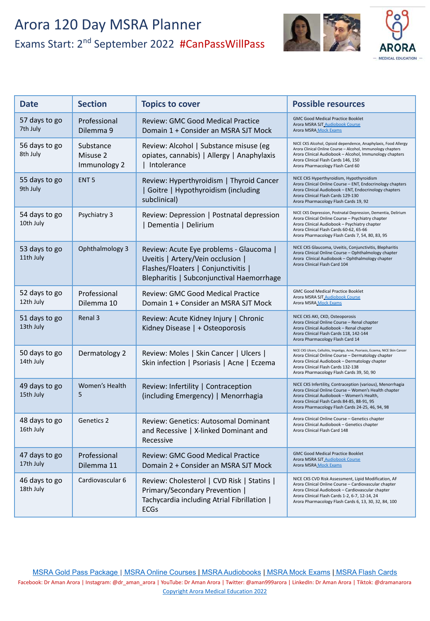Renal 3 Review: Acute Kidney Injury Kidney Disease |

Dermatology 2 | Review: Moles |

Ophthalmology 3 | Review: Acute Eye problems - Glaucoma |

Uveitis | Artery/Vein occlusion | Flashes/Floaters | Conjunctivitis |

Blepharitis | Subconjunctival Haemorrhage

**Date Bose Section Possible Topics to cover** 

Professional Dilemma 10

Women's Health

57 days to go 7th July

56 days to go 8th July

55 days to go 9th July

54 days to go 10th July

53 days to go 11th July

52 days to go 12th July

51 days to go 13th July

50 days to go 14th July

49 days to go



| <b>Section</b>                        | <b>Topics to cover</b>                                                                              | <b>Possible resources</b>                                                                                                                                                                                                                                           |
|---------------------------------------|-----------------------------------------------------------------------------------------------------|---------------------------------------------------------------------------------------------------------------------------------------------------------------------------------------------------------------------------------------------------------------------|
| Professional<br>Dilemma 9             | <b>Review: GMC Good Medical Practice</b><br>Domain 1 + Consider an MSRA SJT Mock                    | <b>GMC Good Medical Practice Booklet</b><br>Arora MSRA SJT Audiobook Course<br><b>Arora MSRA Mock Exams</b>                                                                                                                                                         |
| Substance<br>Misuse 2<br>Immunology 2 | Review: Alcohol   Substance misuse (eg<br>opiates, cannabis)   Allergy   Anaphylaxis<br>Intolerance | NICE CKS Alcohol, Opioid dependence, Anaphylaxis, Food Allergy<br>Arora Clinical Online Course - Alcohol, Immunology chapters<br>Arora Clinical Audiobook - Alcohol, Immunology chapters<br>Arora Clinical Flash Cards 146, 150<br>Arora Pharmacology Flash Card 60 |
| ENT <sub>5</sub>                      | Review: Hyperthyroidism   Thyroid Cancer<br>Goitre   Hypothyroidism (including<br>subclinical)      | NICE CKS Hyperthyroidism, Hypothyroidism<br>Arora Clinical Online Course - ENT, Endocrinology chapters<br>Arora Clinical Audiobook - ENT, Endocrinology chapters<br>Arora Clinical Flash Cards 129-130<br>Arora Pharmacology Flash Cards 19, 92                     |
| Psychiatry 3                          | Review: Depression   Postnatal depression<br>Dementia   Delirium                                    | NICE CKS Depression, Postnatal Depression, Dementia, Delirium<br>Arora Clinical Online Course - Psychiatry chapter<br>Arora Clinical Audiobook - Psychiatry chapter<br>Arora Clinical Flash Cards 60-62, 65-66                                                      |

| NICE CKS Glaucoma, Uveitis, Conjunctivitis, Blepharitis |
|---------------------------------------------------------|
| Arora Clinical Online Course - Ophthalmology chapter    |
| Arora Clinical Audiobook - Ophthalmology chapter        |
| Arora Clinical Flash Card 104                           |
|                                                         |

Arora Pharmacology Flash Cards 7, 54, 80, 83, 95

| Review: GMC Good Medical Practice<br>Domain 1 + Consider an MSRA SJT Mock | <b>GMC Good Medical Practice Booklet</b><br>Arora MSRA SJT Audiobook Course<br><b>Arora MSRA Mock Exams</b> |  |
|---------------------------------------------------------------------------|-------------------------------------------------------------------------------------------------------------|--|
| Review: Acute Kidney Injury   Chronic                                     | NICE CKS AKI, CKD, Osteoporosis<br>Arora Clinical Online Course - Renal chapter                             |  |

| Kidney Disease $  +$ Osteoporosis                                                    | Arora Clinical Audiobook - Renal chapter<br>Arora Clinical Flash Cards 118, 142-144<br>Arora Pharmacology Flash Card 14                                                                                                                                                     |
|--------------------------------------------------------------------------------------|-----------------------------------------------------------------------------------------------------------------------------------------------------------------------------------------------------------------------------------------------------------------------------|
| Review: Moles   Skin Cancer   Ulcers  <br>Skin infection   Psoriasis   Acne   Eczema | NICE CKS Ulcers, Cellulitis, Impetigo, Acne, Psoriasis, Eczema, NICE Skin Cancer<br>Arora Clinical Online Course - Dermatology chapter<br>Arora Clinical Audiobook - Dermatology chapter<br>Arora Clinical Flash Cards 132-138<br>Arora Pharmacology Flash Cards 39, 50, 90 |
| Review: Infertility   Contraception<br>(including Emergency)   Menorrhagia           | NICE CKS Infertility, Contraception (various), Menorrhagia<br>Arora Clinical Online Course - Women's Health chapter<br>Arora Clinical Audiobook - Women's Health.<br>Arora Clinical Flash Cards 84-85, 88-91, 95<br>Arora Pharmacology Elash Cards 24-25 46 94 98           |

| 15th July                  | 5                          | (including Emergency)   Menorrhagia                                                                                                        | Arora Clinical Audiobook - Women's Health,<br>Arora Clinical Flash Cards 84-85, 88-91, 95<br>Arora Pharmacology Flash Cards 24-25, 46, 94, 98                                                                                                                                 |
|----------------------------|----------------------------|--------------------------------------------------------------------------------------------------------------------------------------------|-------------------------------------------------------------------------------------------------------------------------------------------------------------------------------------------------------------------------------------------------------------------------------|
| 48 days to go<br>16th July | Genetics 2                 | Review: Genetics: Autosomal Dominant<br>and Recessive   X-linked Dominant and<br>Recessive                                                 | Arora Clinical Online Course - Genetics chapter<br>Arora Clinical Audiobook - Genetics chapter<br>Arora Clinical Flash Card 148                                                                                                                                               |
| 47 days to go<br>17th July | Professional<br>Dilemma 11 | Review: GMC Good Medical Practice<br>Domain 2 + Consider an MSRA SJT Mock                                                                  | <b>GMC Good Medical Practice Booklet</b><br>Arora MSRA SJT Audiobook Course<br>Arora MSRA Mock Exams                                                                                                                                                                          |
| 46 days to go<br>18th July | Cardiovascular 6           | Review: Cholesterol   CVD Risk   Statins  <br>Primary/Secondary Prevention  <br>Tachycardia including Atrial Fibrillation  <br><b>ECGs</b> | NICE CKS CVD Risk Assessment, Lipid Modification, AF<br>Arora Clinical Online Course - Cardiovascular chapter<br>Arora Clinical Audiobook - Cardiovascular chapter<br>Arora Clinical Flash Cards 1-2, 6-7, 12-14, 24<br>Arora Pharmacology Flash Cards 6, 13, 30, 32, 84, 100 |

[MSRA Gold Pass Package](https://aroramedicaleducation.co.uk/msra-gold-pass-package/) [|](https://aroramedicaleducation.co.uk/msra/) [MSRA Online Courses](https://aroramedicaleducation.co.uk/msra-clinical-crammer-online-course/) [| MSRA Audiobooks](https://aroramedicaleducation.co.uk/audiobook/msra-audiobooks/) [| MSRA Mock Exams](https://aroramedicaleducation.co.uk/mock-exam/msra-mock-exams/) | [MSRA Flash Cards](https://aroramedicaleducation.co.uk/arora-medical-flash-cards/)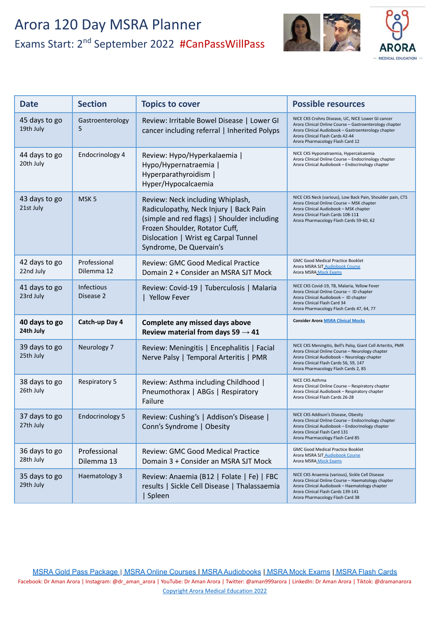

| <b>Date</b>                | <b>Section</b>             | <b>Topics to cover</b>                                                                                                                                                                                                         | <b>Possible resources</b>                                                                                                                                                                                                                          |
|----------------------------|----------------------------|--------------------------------------------------------------------------------------------------------------------------------------------------------------------------------------------------------------------------------|----------------------------------------------------------------------------------------------------------------------------------------------------------------------------------------------------------------------------------------------------|
| 45 days to go<br>19th July | Gastroenterology<br>5      | Review: Irritable Bowel Disease   Lower GI<br>cancer including referral   Inherited Polyps                                                                                                                                     | NICE CKS Crohns Disease, UC, NICE Lower GI cancer<br>Arora Clinical Online Course - Gastroenterology chapter<br>Arora Clinical Audiobook - Gastroenterology chapter<br>Arora Clinical Flash Cards 42-44<br>Arora Pharmacology Flash Card 12        |
| 44 days to go<br>20th July | Endocrinology 4            | Review: Hypo/Hyperkalaemia  <br>Hypo/Hypernatraemia  <br>Hyperparathyroidism  <br>Hyper/Hypocalcaemia                                                                                                                          | NICE CKS Hyponatraemia, Hypercalcaemia<br>Arora Clinical Online Course - Endocrinology chapter<br>Arora Clinical Audiobook - Endocrinology chapter                                                                                                 |
| 43 days to go<br>21st July | MSK <sub>5</sub>           | Review: Neck including Whiplash,<br>Radiculopathy, Neck Injury   Back Pain<br>(simple and red flags)   Shoulder including<br>Frozen Shoulder, Rotator Cuff,<br>Dislocation   Wrist eg Carpal Tunnel<br>Syndrome, De Quervain's | NICE CKS Neck (various), Low Back Pain, Shoulder pain, CTS<br>Arora Clinical Online Course - MSK chapter<br>Arora Clinical Audiobook - MSK chapter<br>Arora Clinical Flash Cards 108-111<br>Arora Pharmacology Flash Cards 59-60, 62               |
| 42 days to go<br>22nd July | Professional<br>Dilemma 12 | <b>Review: GMC Good Medical Practice</b><br>Domain 2 + Consider an MSRA SJT Mock                                                                                                                                               | <b>GMC Good Medical Practice Booklet</b><br>Arora MSRA SJT_Audiobook Course<br>Arora MSRA Mock Exams                                                                                                                                               |
| 41 days to go<br>23rd July | Infectious<br>Disease 2    | Review: Covid-19   Tuberculosis   Malaria<br>  Yellow Fever                                                                                                                                                                    | NICE CKS Covid-19, TB, Malaria, Yellow Fever<br>Arora Clinical Online Course - ID chapter<br>Arora Clinical Audiobook - ID chapter<br>Arora Clinical Flash Card 34<br>Arora Pharmacology Flash Cards 47, 64, 77                                    |
| 40 days to go<br>24th July | Catch-up Day 4             | Complete any missed days above<br>Review material from days 59 $\rightarrow$ 41                                                                                                                                                | <b>Consider Arora MSRA Clinical Mocks</b>                                                                                                                                                                                                          |
| 39 days to go<br>25th July | Neurology 7                | Review: Meningitis   Encephalitis   Facial<br>Nerve Palsy   Temporal Arteritis   PMR                                                                                                                                           | NICE CKS Meningitis, Bell's Palsy, Giant Cell Arteritis, PMR<br>Arora Clinical Online Course - Neurology chapter<br>Arora Clinical Audiobook - Neurology chapter<br>Arora Clinical Flash Cards 56, 59, 147<br>Arora Pharmacology Flash Cards 2, 85 |
| 38 days to go<br>26th July | <b>Respiratory 5</b>       | Review: Asthma including Childhood  <br>Pneumothorax   ABGs   Respiratory<br>Failure                                                                                                                                           | NICE CKS Asthma<br>Arora Clinical Online Course - Respiratory chapter<br>Arora Clinical Audiobook - Respiratory chapter<br>Arora Clinical Flash Cards 26-28                                                                                        |
| 37 days to go<br>27th July | <b>Endocrinology 5</b>     | Review: Cushing's   Addison's Disease  <br>Conn's Syndrome   Obesity                                                                                                                                                           | NICE CKS Addison's Disease, Obesity<br>Arora Clinical Online Course - Endocrinology chapter<br>Arora Clinical Audiobook - Endocrinology chapter<br>Arora Clinical Flash Card 131<br>Arora Pharmacology Flash Card 85                               |
| 36 days to go<br>28th July | Professional<br>Dilemma 13 | <b>Review: GMC Good Medical Practice</b><br>Domain 3 + Consider an MSRA SJT Mock                                                                                                                                               | <b>GMC Good Medical Practice Booklet</b><br>Arora MSRA SJT_Audiobook Course<br>Arora MSRA Mock Exams                                                                                                                                               |
| 35 days to go<br>29th July | Haematology 3              | Review: Anaemia (B12   Folate   Fe)   FBC<br>results   Sickle Cell Disease   Thalassaemia<br>  Spleen                                                                                                                          | NICE CKS Anaemia (various), Sickle Cell Disease<br>Arora Clinical Online Course - Haematology chapter<br>Arora Clinical Audiobook - Haematology chapter<br>Arora Clinical Flash Cards 139-141<br>Arora Pharmacology Flash Card 38                  |

[MSRA Gold Pass Package](https://aroramedicaleducation.co.uk/msra-gold-pass-package/) [|](https://aroramedicaleducation.co.uk/msra/) [MSRA Online Courses](https://aroramedicaleducation.co.uk/msra-clinical-crammer-online-course/) [| MSRA Audiobooks](https://aroramedicaleducation.co.uk/audiobook/msra-audiobooks/) [| MSRA Mock Exams](https://aroramedicaleducation.co.uk/mock-exam/msra-mock-exams/) | [MSRA Flash Cards](https://aroramedicaleducation.co.uk/arora-medical-flash-cards/) Facebook: Dr Aman Arora | Instagram: @dr\_aman\_arora | YouTube: Dr Aman Arora | Twitter: @aman999arora | LinkedIn: Dr Aman Arora | Tiktok: @dramanarora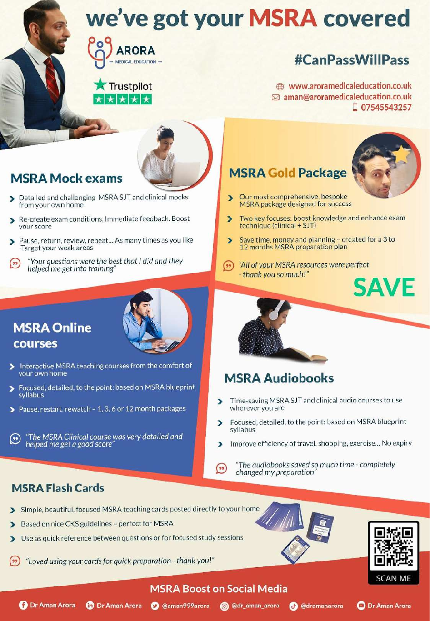

### **Trustpilot** ★ ★ ★ ★ ★

# **#CanPassWillPass**

www.aroramedicaleducation.co.uk ⊠ aman@aroramedicaleducation.co.uk □ 07545543257



# **MSRA Mock exams**

- Detailed and challenging MSRA SJT and clinical mocks from your own home
- Re-create exam conditions. Immediate feedback. Boost Б vour score
- Pause, return, review, repeat... As many times as you like э -Target your weak areas
- Your questions were the best that I did and they  $($ helped me get into training'

## **MSRA Online** courses

- 
- Interactive MSRA teaching courses from the comfort of your own home
- $\overline{\phantom{1}}$ Focused, detailed, to the point: based on MSRA blueprint syllabus
- Pause, restart, rewatch 1, 3, 6 or 12 month packages

"The MSRA Clinical course was very detailed and  $(\cdot)$ helped me get a good score

## **MSRA Gold Package**



- Our most comprehensive, bespoke Ď MSRA package designed for success
- Two key focuses: boost knowledge and enhance exam  $\overline{\phantom{0}}$ technique (clinical + SJT)
- Save time, money and planning created for a 3 to 12 months MSRA preparation plan
- $(\bullet \bullet)$ "All of your MSRA resources were perfect" - thank you so much!"



## **MSRA Audiobooks**

- Time-saving MSRA SJT and clinical audio courses to use wherever you are
- Focused, detailed, to the point: based on MSRA blueprint  $\overline{\phantom{a}}$ syllabus
- Improve efficiency of travel, shopping, exercise... No expiry D.
- "The audiobooks saved so much time completely  $($ \*\*) changed my preparation

### **MSRA Flash Cards**

- Simple, beautiful, focused MSRA teaching cards posted directly to your home
- Based on nice CKS guidelines perfect for MSRA
- Use as quick reference between questions or for focused study sessions  $\blacktriangleright$
- "Loved using your cards for quick preparation thank you!"





**O** Dr Aman Arora

### **MSRA Boost on Social Media**



**D** Dr Aman Arora

**O** @aman999arora **@** @dr\_aman\_arora

**@** @dramanarora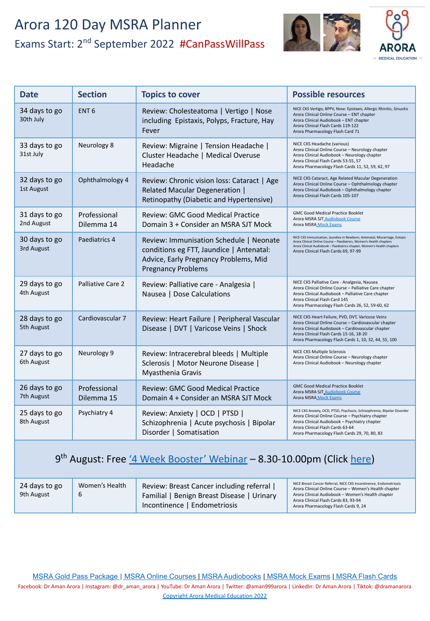

| <b>Date</b>                 | <b>Section</b>             | <b>Topics to cover</b>                                                                                                                                    | <b>Possible resources</b>                                                                                                                                                                                                                                             |
|-----------------------------|----------------------------|-----------------------------------------------------------------------------------------------------------------------------------------------------------|-----------------------------------------------------------------------------------------------------------------------------------------------------------------------------------------------------------------------------------------------------------------------|
| 34 days to go<br>30th July  | ENT <sub>6</sub>           | Review: Cholesteatoma   Vertigo   Nose<br>including Epistaxis, Polyps, Fracture, Hay<br>Fever                                                             | NICE CKS Vertigo, BPPV, Nose: Epistaxis, Allergic Rhinitis, Sinusitis<br>Arora Clinical Online Course - ENT chapter<br>Arora Clinical Audiobook - ENT chapter<br>Arora Clinical Flash Cards 119-122<br>Arora Pharmacology Flash Card 71                               |
| 33 days to go<br>31st July  | Neurology 8                | Review: Migraine   Tension Headache  <br>Cluster Headache   Medical Overuse<br>Headache                                                                   | NICE CKS Headache (various)<br>Arora Clinical Online Course - Neurology chapter<br>Arora Clinical Audiobook - Neurology chapter<br>Arora Clinical Flash Cards 53-55, 57<br>Arora Pharmacology Flash Cards 11, 52, 59, 62, 97                                          |
| 32 days to go<br>1st August | Ophthalmology 4            | Review: Chronic vision loss: Cataract   Age<br>Related Macular Degeneration  <br>Retinopathy (Diabetic and Hypertensive)                                  | NICE CKS Cataract, Age Related Macular Degeneration<br>Arora Clinical Online Course - Ophthalmology chapter<br>Arora Clinical Audiobook - Ophthalmology chapter<br>Arora Clinical Flash Cards 105-107                                                                 |
| 31 days to go<br>2nd August | Professional<br>Dilemma 14 | <b>Review: GMC Good Medical Practice</b><br>Domain 3 + Consider an MSRA SJT Mock                                                                          | <b>GMC Good Medical Practice Booklet</b><br>Arora MSRA SJT Audiobook Course<br>Arora MSRA Mock Exams                                                                                                                                                                  |
| 30 days to go<br>3rd August | Paediatrics 4              | Review: Immunisation Schedule   Neonate<br>conditions eg FTT, Jaundice   Antenatal:<br>Advice, Early Pregnancy Problems, Mid<br><b>Pregnancy Problems</b> | NICE CKS Immunisation, Jaundice in Newborn, Antenatal, Miscarriage, Ectopic<br>Arora Clinical Online Course - Paediatrics, Women's Health chapters<br>Arora Clinical Audiobook - Paediatrics chapter, Women's Health chapters<br>Arora Clinical Flash Cards 69, 97-99 |
| 29 days to go<br>4th August | Palliative Care 2          | Review: Palliative care - Analgesia  <br>Nausea   Dose Calculations                                                                                       | NICE CKS Palliative Care - Analgesia, Nausea<br>Arora Clinical Online Course - Palliative Care chapter<br>Arora Clinical Audiobook - Palliative Care chapter<br>Arora Clinical Flash Card 145<br>Arora Pharmacology Flash Cards 26, 52, 59-60, 62                     |
| 28 days to go<br>5th August | Cardiovascular 7           | Review: Heart Failure   Peripheral Vascular<br>Disease   DVT   Varicose Veins   Shock                                                                     | NICE CKS Heart Failure, PVD, DVT, Varicose Veins<br>Arora Clinical Online Course - Cardiovascular chapter<br>Arora Clinical Audiobook - Cardiovascular chapter<br>Arora Clinical Flash Cards 15-16, 18-20<br>Arora Pharmacology Flash Cards 1, 10, 32, 44, 55, 100    |
| 27 days to go<br>6th August | Neurology 9                | Review: Intracerebral bleeds   Multiple<br>Sclerosis   Motor Neurone Disease  <br>Myasthenia Gravis                                                       | NICE CKS Multiple Sclerosis<br>Arora Clinical Online Course - Neurology chapter<br>Arora Clinical Audiobook - Neurology chapter                                                                                                                                       |
| 26 days to go<br>7th August | Professional<br>Dilemma 15 | <b>Review: GMC Good Medical Practice</b><br>Domain 4 + Consider an MSRA SJT Mock                                                                          | <b>GMC Good Medical Practice Booklet</b><br>Arora MSRA SJT_Audiobook Course<br>Arora MSRA Mock Exams                                                                                                                                                                  |
| 25 days to go<br>8th August | Psychiatry 4               | Review: Anxiety   OCD   PTSD  <br>Schizophrenia   Acute psychosis   Bipolar<br>Disorder   Somatisation                                                    | NICE CKS Anxiety, OCD, PTSD, Psychosis, Schizophrenia, Bipolar Disorder<br>Arora Clinical Online Course - Psychiatry chapter<br>Arora Clinical Audiobook - Psychiatry chapter<br>Arora Clinical Flash Cards 63-64<br>Arora Pharmacology Flash Cards 29, 70, 80, 83    |

### 9<sup>th</sup> August: Free ['4 Week Booster' Webinar](https://aroramedicaleducation.co.uk/webinars/) - 8.30-10.00pm (Click [here](https://aroramedicaleducation.co.uk/webinars/))

| 24 days to go<br>9th August | Women's Health<br>b | Review: Breast Cancer including referral<br>Familial   Benign Breast Disease   Urinary<br>Incontinence   Endometriosis | NICE Breast Cancer Referral, NICE CKS Incontinence, Endometriosis<br>Arora Clinical Online Course - Women's Health chapter<br>Arora Clinical Audiobook - Women's Health chapter<br>Arora Clinical Flash Cards 83, 93-94<br>Arora Pharmacology Flash Cards 9, 24 |
|-----------------------------|---------------------|------------------------------------------------------------------------------------------------------------------------|-----------------------------------------------------------------------------------------------------------------------------------------------------------------------------------------------------------------------------------------------------------------|
|-----------------------------|---------------------|------------------------------------------------------------------------------------------------------------------------|-----------------------------------------------------------------------------------------------------------------------------------------------------------------------------------------------------------------------------------------------------------------|

[MSRA Gold Pass Package](https://aroramedicaleducation.co.uk/msra-gold-pass-package/) [|](https://aroramedicaleducation.co.uk/msra/) [MSRA Online Courses](https://aroramedicaleducation.co.uk/msra-clinical-crammer-online-course/) [| MSRA Audiobooks](https://aroramedicaleducation.co.uk/audiobook/msra-audiobooks/) [| MSRA Mock Exams](https://aroramedicaleducation.co.uk/mock-exam/msra-mock-exams/) | [MSRA Flash Cards](https://aroramedicaleducation.co.uk/arora-medical-flash-cards/)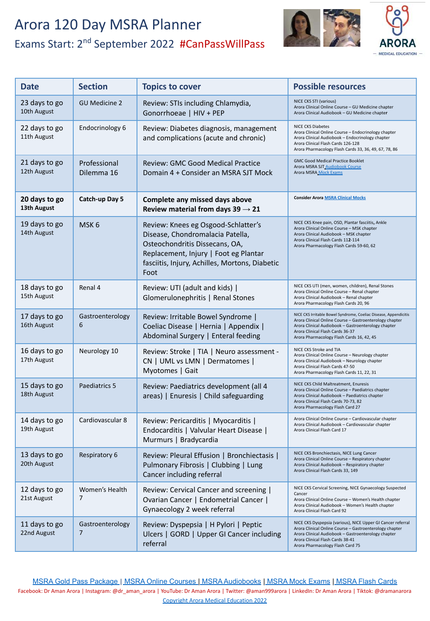

| <b>Date</b>                  | <b>Section</b>                     | <b>Topics to cover</b>                                                                                                                                                                                       | <b>Possible resources</b>                                                                                                                                                                                                                                           |
|------------------------------|------------------------------------|--------------------------------------------------------------------------------------------------------------------------------------------------------------------------------------------------------------|---------------------------------------------------------------------------------------------------------------------------------------------------------------------------------------------------------------------------------------------------------------------|
| 23 days to go<br>10th August | <b>GU Medicine 2</b>               | Review: STIs including Chlamydia,<br>Gonorrhoeae   HIV + PEP                                                                                                                                                 | NICE CKS STI (various)<br>Arora Clinical Online Course - GU Medicine chapter<br>Arora Clinical Audiobook - GU Medicine chapter                                                                                                                                      |
| 22 days to go<br>11th August | Endocrinology 6                    | Review: Diabetes diagnosis, management<br>and complications (acute and chronic)                                                                                                                              | <b>NICE CKS Diabetes</b><br>Arora Clinical Online Course - Endocrinology chapter<br>Arora Clinical Audiobook - Endocrinology chapter<br>Arora Clinical Flash Cards 126-128<br>Arora Pharmacology Flash Cards 33, 36, 49, 67, 78, 86                                 |
| 21 days to go<br>12th August | Professional<br>Dilemma 16         | Review: GMC Good Medical Practice<br>Domain 4 + Consider an MSRA SJT Mock                                                                                                                                    | <b>GMC Good Medical Practice Booklet</b><br>Arora MSRA SJT Audiobook Course<br>Arora MSRA Mock Exams                                                                                                                                                                |
| 20 days to go<br>13th August | Catch-up Day 5                     | Complete any missed days above<br>Review material from days $39 \rightarrow 21$                                                                                                                              | <b>Consider Arora MSRA Clinical Mocks</b>                                                                                                                                                                                                                           |
| 19 days to go<br>14th August | MSK <sub>6</sub>                   | Review: Knees eg Osgood-Schlatter's<br>Disease, Chondromalacia Patella,<br>Osteochondritis Dissecans, OA,<br>Replacement, Injury   Foot eg Plantar<br>fasciitis, Injury, Achilles, Mortons, Diabetic<br>Foot | NICE CKS Knee pain, OSD, Plantar fasciitis, Ankle<br>Arora Clinical Online Course - MSK chapter<br>Arora Clinical Audiobook - MSK chapter<br>Arora Clinical Flash Cards 112-114<br>Arora Pharmacology Flash Cards 59-60, 62                                         |
| 18 days to go<br>15th August | Renal 4                            | Review: UTI (adult and kids)  <br>Glomerulonephritis   Renal Stones                                                                                                                                          | NICE CKS UTI (men, women, children), Renal Stones<br>Arora Clinical Online Course - Renal chapter<br>Arora Clinical Audiobook - Renal chapter<br>Arora Pharmacology Flash Cards 20, 96                                                                              |
| 17 days to go<br>16th August | Gastroenterology<br>6              | Review: Irritable Bowel Syndrome  <br>Coeliac Disease   Hernia   Appendix  <br>Abdominal Surgery   Enteral feeding                                                                                           | NICE CKS Irritable Bowel Syndrome, Coeliac Disease, Appendicitis<br>Arora Clinical Online Course - Gastroenterology chapter<br>Arora Clinical Audiobook - Gastroenterology chapter<br>Arora Clinical Flash Cards 36-37<br>Arora Pharmacology Flash Cards 16, 42, 45 |
| 16 days to go<br>17th August | Neurology 10                       | Review: Stroke   TIA   Neuro assessment -<br>CN   UML vs LMN   Dermatomes  <br>Myotomes   Gait                                                                                                               | NICE CKS Stroke and TIA<br>Arora Clinical Online Course - Neurology chapter<br>Arora Clinical Audiobook - Neurology chapter<br>Arora Clinical Flash Cards 47-50<br>Arora Pharmacology Flash Cards 11, 22, 31                                                        |
| 15 days to go<br>18th August | Paediatrics 5                      | Review: Paediatrics development (all 4<br>areas)   Enuresis   Child safeguarding                                                                                                                             | NICE CKS Child Maltreatment, Enuresis<br>Arora Clinical Online Course - Paediatrics chapter<br>Arora Clinical Audiobook - Paediatrics chapter<br>Arora Clinical Flash Cards 70-73, 82<br>Arora Pharmacology Flash Card 27                                           |
| 14 days to go<br>19th August | Cardiovascular 8                   | Review: Pericarditis   Myocarditis  <br>Endocarditis   Valvular Heart Disease<br>Murmurs   Bradycardia                                                                                                       | Arora Clinical Online Course - Cardiovascular chapter<br>Arora Clinical Audiobook - Cardiovascular chapter<br>Arora Clinical Flash Card 17                                                                                                                          |
| 13 days to go<br>20th August | Respiratory 6                      | Review: Pleural Effusion   Bronchiectasis  <br>Pulmonary Fibrosis   Clubbing   Lung<br>Cancer including referral                                                                                             | NICE CKS Bronchiectasis, NICE Lung Cancer<br>Arora Clinical Online Course - Respiratory chapter<br>Arora Clinical Audiobook - Respiratory chapter<br>Arora Clinical Flash Cards 33, 149                                                                             |
| 12 days to go<br>21st August | Women's Health<br>7                | Review: Cervical Cancer and screening  <br>Ovarian Cancer   Endometrial Cancer  <br>Gynaecology 2 week referral                                                                                              | NICE CKS Cervical Screening, NICE Gynaecology Suspected<br>Cancer<br>Arora Clinical Online Course - Women's Health chapter<br>Arora Clinical Audiobook - Women's Health chapter<br>Arora Clinical Flash Card 92                                                     |
| 11 days to go<br>22nd August | Gastroenterology<br>$\overline{7}$ | Review: Dyspepsia   H Pylori   Peptic<br>Ulcers   GORD   Upper GI Cancer including<br>referral                                                                                                               | NICE CKS Dyspepsia (various), NICE Upper GI Cancer referral<br>Arora Clinical Online Course - Gastroenterology chapter<br>Arora Clinical Audiobook - Gastroenterology chapter<br>Arora Clinical Flash Cards 38-41<br>Arora Pharmacology Flash Card 75               |

[MSRA Gold Pass Package](https://aroramedicaleducation.co.uk/msra-gold-pass-package/) [|](https://aroramedicaleducation.co.uk/msra/) [MSRA Online Courses](https://aroramedicaleducation.co.uk/msra-clinical-crammer-online-course/) [| MSRA Audiobooks](https://aroramedicaleducation.co.uk/audiobook/msra-audiobooks/) [| MSRA Mock Exams](https://aroramedicaleducation.co.uk/mock-exam/msra-mock-exams/) | [MSRA Flash Cards](https://aroramedicaleducation.co.uk/arora-medical-flash-cards/)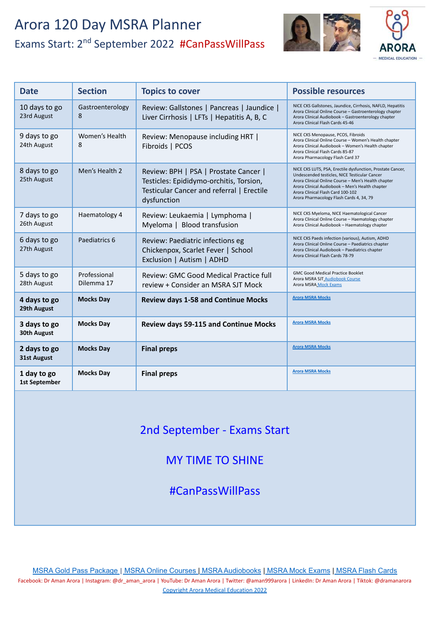

| <b>Date</b>                         | <b>Section</b>             | <b>Topics to cover</b>                                                                                                                       | <b>Possible resources</b>                                                                                                                                                                                                                                                                              |
|-------------------------------------|----------------------------|----------------------------------------------------------------------------------------------------------------------------------------------|--------------------------------------------------------------------------------------------------------------------------------------------------------------------------------------------------------------------------------------------------------------------------------------------------------|
| 10 days to go<br>23rd August        | Gastroenterology<br>8      | Review: Gallstones   Pancreas   Jaundice  <br>Liver Cirrhosis   LFTs   Hepatitis A, B, C                                                     | NICE CKS Gallstones, Jaundice, Cirrhosis, NAFLD, Hepatitis<br>Arora Clinical Online Course - Gastroenterology chapter<br>Arora Clinical Audiobook - Gastroenterology chapter<br>Arora Clinical Flash Cards 45-46                                                                                       |
| 9 days to go<br>24th August         | Women's Health<br>8        | Review: Menopause including HRT  <br>Fibroids   PCOS                                                                                         | NICE CKS Menopause, PCOS, Fibroids<br>Arora Clinical Online Course - Women's Health chapter<br>Arora Clinical Audiobook - Women's Health chapter<br>Arora Clinical Flash Cards 85-87<br>Arora Pharmacology Flash Card 37                                                                               |
| 8 days to go<br>25th August         | Men's Health 2             | Review: BPH   PSA   Prostate Cancer  <br>Testicles: Epididymo-orchitis, Torsion,<br>Testicular Cancer and referral   Erectile<br>dysfunction | NICE CKS LUTS, PSA, Erectile dysfunction, Prostate Cancer,<br>Undescended testicles, NICE Testicular Cancer<br>Arora Clinical Online Course - Men's Health chapter<br>Arora Clinical Audiobook - Men's Health chapter<br>Arora Clinical Flash Card 100-102<br>Arora Pharmacology Flash Cards 4, 34, 79 |
| 7 days to go<br>26th August         | Haematology 4              | Review: Leukaemia   Lymphoma  <br>Myeloma   Blood transfusion                                                                                | NICE CKS Myeloma, NICE Haematological Cancer<br>Arora Clinical Online Course - Haematology chapter<br>Arora Clinical Audiobook - Haematology chapter                                                                                                                                                   |
| 6 days to go<br>27th August         | Paediatrics 6              | Review: Paediatric infections eg<br>Chickenpox, Scarlet Fever   School<br>Exclusion   Autism   ADHD                                          | NICE CKS Paeds infection (various), Autism, ADHD<br>Arora Clinical Online Course - Paediatrics chapter<br>Arora Clinical Audiobook - Paediatrics chapter<br>Arora Clinical Flash Cards 78-79                                                                                                           |
| 5 days to go<br>28th August         | Professional<br>Dilemma 17 | Review: GMC Good Medical Practice full<br>review + Consider an MSRA SJT Mock                                                                 | <b>GMC Good Medical Practice Booklet</b><br>Arora MSRA SJT_Audiobook Course<br>Arora MSRA Mock Exams                                                                                                                                                                                                   |
| 4 days to go<br>29th August         | <b>Mocks Day</b>           | <b>Review days 1-58 and Continue Mocks</b>                                                                                                   | <b>Arora MSRA Mocks</b>                                                                                                                                                                                                                                                                                |
| 3 days to go<br>30th August         | <b>Mocks Day</b>           | <b>Review days 59-115 and Continue Mocks</b>                                                                                                 | <b>Arora MSRA Mocks</b>                                                                                                                                                                                                                                                                                |
| 2 days to go<br>31st August         | <b>Mocks Day</b>           | <b>Final preps</b>                                                                                                                           | <b>Arora MSRA Mocks</b>                                                                                                                                                                                                                                                                                |
| 1 day to go<br><b>1st September</b> | <b>Mocks Day</b>           | <b>Final preps</b>                                                                                                                           | <b>Arora MSRA Mocks</b>                                                                                                                                                                                                                                                                                |

2nd September - Exams Start

MY TIME TO SHINE

#CanPassWillPass

[MSRA Gold Pass Package](https://aroramedicaleducation.co.uk/msra-gold-pass-package/) [|](https://aroramedicaleducation.co.uk/msra/) [MSRA Online Courses](https://aroramedicaleducation.co.uk/msra-clinical-crammer-online-course/) [| MSRA Audiobooks](https://aroramedicaleducation.co.uk/audiobook/msra-audiobooks/) [| MSRA Mock Exams](https://aroramedicaleducation.co.uk/mock-exam/msra-mock-exams/) | [MSRA Flash Cards](https://aroramedicaleducation.co.uk/arora-medical-flash-cards/)